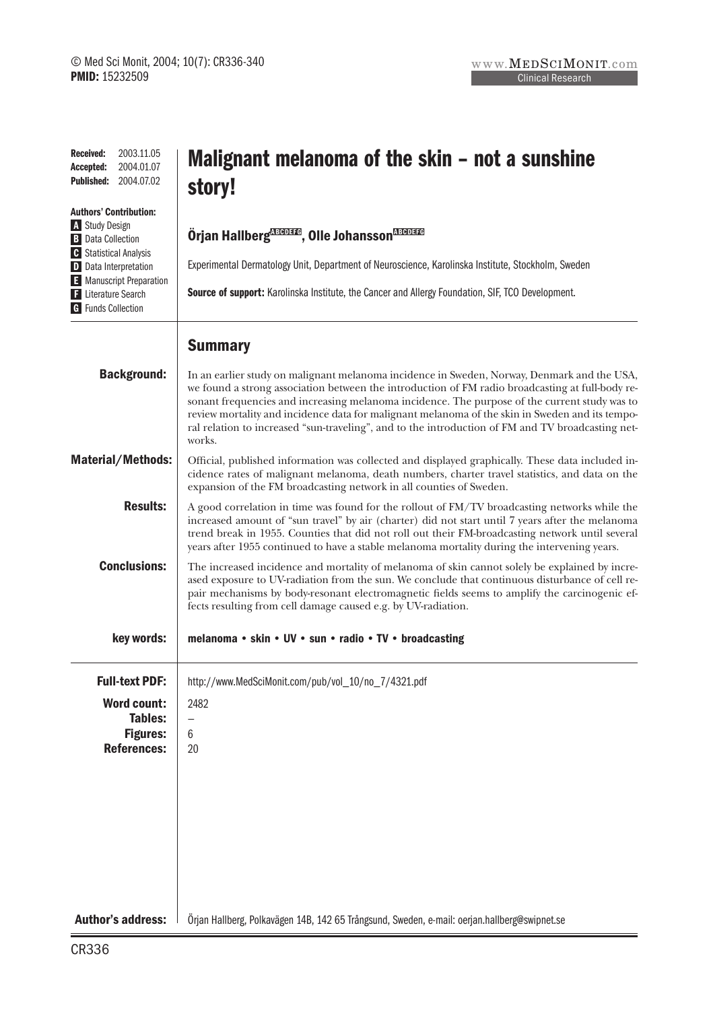| <b>Received:</b><br>2003.11.05<br>2004.01.07<br>Accepted:<br>2004.07.02<br><b>Published:</b>                 | Malignant melanoma of the skin – not a sunshine<br>story!                                                                                                                                                                                                                                                                                                                                                                                                                                                          |
|--------------------------------------------------------------------------------------------------------------|--------------------------------------------------------------------------------------------------------------------------------------------------------------------------------------------------------------------------------------------------------------------------------------------------------------------------------------------------------------------------------------------------------------------------------------------------------------------------------------------------------------------|
| <b>Authors' Contribution:</b><br>A Study Design<br><b>B</b> Data Collection<br><b>G</b> Statistical Analysis | Örjan Hallberg <sup>manan</sup> , Olle Johansson <sup>Manana</sup>                                                                                                                                                                                                                                                                                                                                                                                                                                                 |
| D Data Interpretation                                                                                        | Experimental Dermatology Unit, Department of Neuroscience, Karolinska Institute, Stockholm, Sweden                                                                                                                                                                                                                                                                                                                                                                                                                 |
| <b>E</b> Manuscript Preparation<br>F Literature Search<br><b>G</b> Funds Collection                          | Source of support: Karolinska Institute, the Cancer and Allergy Foundation, SIF, TCO Development.                                                                                                                                                                                                                                                                                                                                                                                                                  |
|                                                                                                              | <b>Summary</b>                                                                                                                                                                                                                                                                                                                                                                                                                                                                                                     |
| <b>Background:</b>                                                                                           | In an earlier study on malignant melanoma incidence in Sweden, Norway, Denmark and the USA,<br>we found a strong association between the introduction of FM radio broadcasting at full-body re-<br>sonant frequencies and increasing melanoma incidence. The purpose of the current study was to<br>review mortality and incidence data for malignant melanoma of the skin in Sweden and its tempo-<br>ral relation to increased "sun-traveling", and to the introduction of FM and TV broadcasting net-<br>works. |
| <b>Material/Methods:</b>                                                                                     | Official, published information was collected and displayed graphically. These data included in-<br>cidence rates of malignant melanoma, death numbers, charter travel statistics, and data on the<br>expansion of the FM broadcasting network in all counties of Sweden.                                                                                                                                                                                                                                          |
| <b>Results:</b>                                                                                              | A good correlation in time was found for the rollout of FM/TV broadcasting networks while the<br>increased amount of "sun travel" by air (charter) did not start until 7 years after the melanoma<br>trend break in 1955. Counties that did not roll out their FM-broadcasting network until several<br>years after 1955 continued to have a stable melanoma mortality during the intervening years.                                                                                                               |
| <b>Conclusions:</b>                                                                                          | The increased incidence and mortality of melanoma of skin cannot solely be explained by incre-<br>ased exposure to UV-radiation from the sun. We conclude that continuous disturbance of cell re-<br>pair mechanisms by body-resonant electromagnetic fields seems to amplify the carcinogenic ef-<br>fects resulting from cell damage caused e.g. by UV-radiation.                                                                                                                                                |
| key words:                                                                                                   | melanoma • skin • UV • sun • radio • TV • broadcasting                                                                                                                                                                                                                                                                                                                                                                                                                                                             |
| <b>Full-text PDF:</b>                                                                                        | http://www.MedSciMonit.com/pub/vol_10/no_7/4321.pdf                                                                                                                                                                                                                                                                                                                                                                                                                                                                |
| Word count:<br><b>Tables:</b>                                                                                | 2482<br>—                                                                                                                                                                                                                                                                                                                                                                                                                                                                                                          |
| <b>Figures:</b><br><b>References:</b>                                                                        | 6                                                                                                                                                                                                                                                                                                                                                                                                                                                                                                                  |
|                                                                                                              | 20                                                                                                                                                                                                                                                                                                                                                                                                                                                                                                                 |
|                                                                                                              |                                                                                                                                                                                                                                                                                                                                                                                                                                                                                                                    |
|                                                                                                              |                                                                                                                                                                                                                                                                                                                                                                                                                                                                                                                    |
|                                                                                                              |                                                                                                                                                                                                                                                                                                                                                                                                                                                                                                                    |
|                                                                                                              |                                                                                                                                                                                                                                                                                                                                                                                                                                                                                                                    |
|                                                                                                              |                                                                                                                                                                                                                                                                                                                                                                                                                                                                                                                    |
| <b>Author's address:</b>                                                                                     | Örjan Hallberg, Polkavägen 14B, 142 65 Trångsund, Sweden, e-mail: oerjan.hallberg@swipnet.se                                                                                                                                                                                                                                                                                                                                                                                                                       |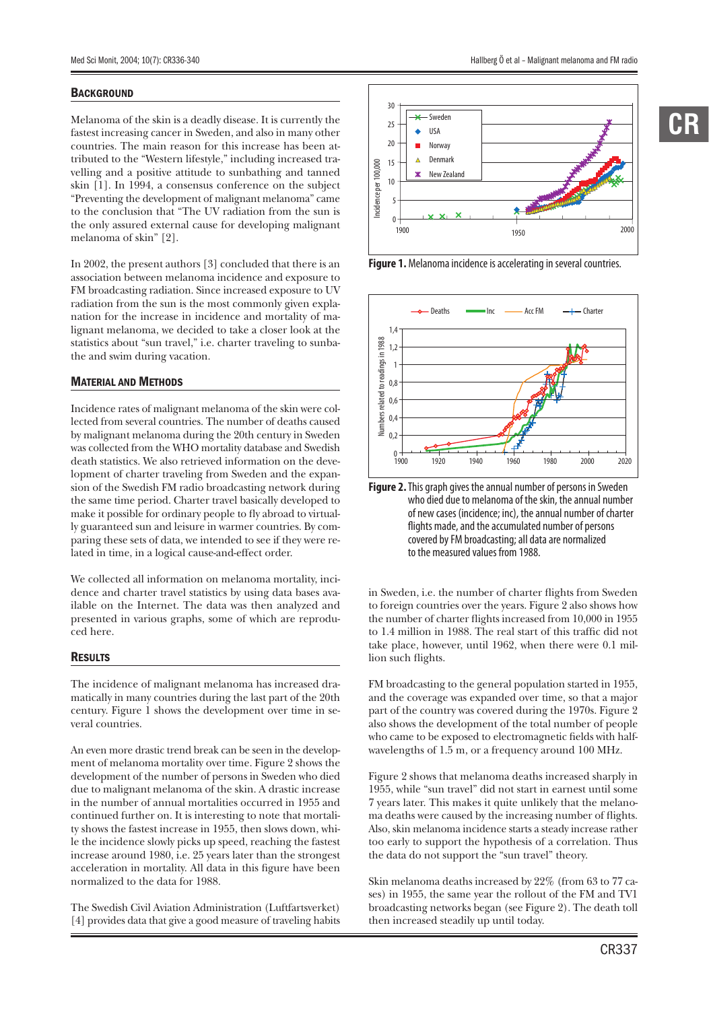### **BACKGROUND**

Melanoma of the skin is a deadly disease. It is currently the fastest increasing cancer in Sweden, and also in many other countries. The main reason for this increase has been attributed to the "Western lifestyle," including increased travelling and a positive attitude to sunbathing and tanned skin [1]. In 1994, a consensus conference on the subject "Preventing the development of malignant melanoma" came to the conclusion that "The UV radiation from the sun is the only assured external cause for developing malignant melanoma of skin" [2].

In 2002, the present authors [3] concluded that there is an association between melanoma incidence and exposure to FM broadcasting radiation. Since increased exposure to UV radiation from the sun is the most commonly given explanation for the increase in incidence and mortality of malignant melanoma, we decided to take a closer look at the statistics about "sun travel," i.e. charter traveling to sunbathe and swim during vacation.

# MATERIAL AND METHODS

Incidence rates of malignant melanoma of the skin were collected from several countries. The number of deaths caused by malignant melanoma during the 20th century in Sweden was collected from the WHO mortality database and Swedish death statistics. We also retrieved information on the development of charter traveling from Sweden and the expansion of the Swedish FM radio broadcasting network during the same time period. Charter travel basically developed to make it possible for ordinary people to fly abroad to virtually guaranteed sun and leisure in warmer countries. By comparing these sets of data, we intended to see if they were related in time, in a logical cause-and-effect order.

We collected all information on melanoma mortality, incidence and charter travel statistics by using data bases available on the Internet. The data was then analyzed and presented in various graphs, some of which are reproduced here.

#### **RESULTS**

The incidence of malignant melanoma has increased dramatically in many countries during the last part of the 20th century. Figure 1 shows the development over time in several countries.

An even more drastic trend break can be seen in the development of melanoma mortality over time. Figure 2 shows the development of the number of persons in Sweden who died due to malignant melanoma of the skin. A drastic increase in the number of annual mortalities occurred in 1955 and continued further on. It is interesting to note that mortality shows the fastest increase in 1955, then slows down, while the incidence slowly picks up speed, reaching the fastest increase around 1980, i.e. 25 years later than the strongest acceleration in mortality. All data in this figure have been normalized to the data for 1988.

The Swedish Civil Aviation Administration (Luftfartsverket) [4] provides data that give a good measure of traveling habits 1900 1950 2000

**Figure 1.** Melanoma incidence is accelerating in several countries.

 $\theta$ 5

Incidence per 100,000

Incidence per 100,000





in Sweden, i.e. the number of charter flights from Sweden to foreign countries over the years. Figure 2 also shows how the number of charter flights increased from 10,000 in 1955 to 1.4 million in 1988. The real start of this traffic did not take place, however, until 1962, when there were 0.1 million such flights.

FM broadcasting to the general population started in 1955, and the coverage was expanded over time, so that a major part of the country was covered during the 1970s. Figure 2 also shows the development of the total number of people who came to be exposed to electromagnetic fields with halfwavelengths of 1.5 m, or a frequency around 100 MHz.

Figure 2 shows that melanoma deaths increased sharply in 1955, while "sun travel" did not start in earnest until some 7 years later. This makes it quite unlikely that the melanoma deaths were caused by the increasing number of flights. Also, skin melanoma incidence starts a steady increase rather too early to support the hypothesis of a correlation. Thus the data do not support the "sun travel" theory.

Skin melanoma deaths increased by 22% (from 63 to 77 cases) in 1955, the same year the rollout of the FM and TV1 broadcasting networks began (see Figure 2). The death toll then increased steadily up until today.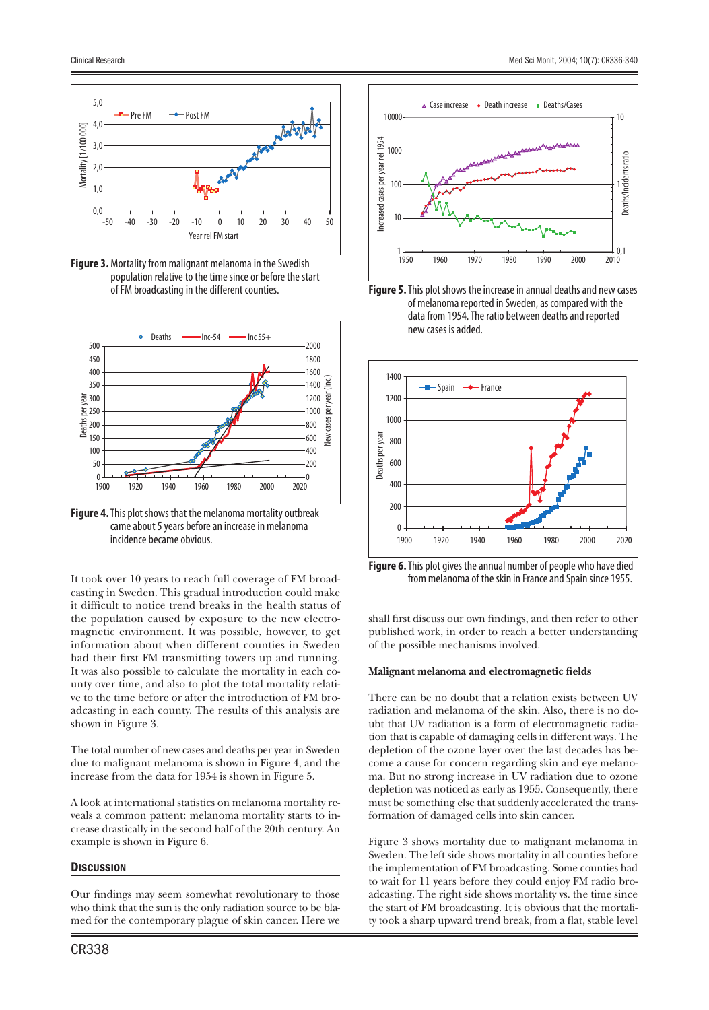

**Figure 3.** Mortality from malignant melanoma in the Swedish population relative to the time since or before the start of FM broadcasting in the different counties.



**Figure 4.** This plot shows that the melanoma mortality outbreak came about 5 years before an increase in melanoma incidence became obvious.

It took over 10 years to reach full coverage of FM broadcasting in Sweden. This gradual introduction could make it difficult to notice trend breaks in the health status of the population caused by exposure to the new electromagnetic environment. It was possible, however, to get information about when different counties in Sweden had their first FM transmitting towers up and running. It was also possible to calculate the mortality in each county over time, and also to plot the total mortality relative to the time before or after the introduction of FM broadcasting in each county. The results of this analysis are shown in Figure 3.

The total number of new cases and deaths per year in Sweden due to malignant melanoma is shown in Figure 4, and the increase from the data for 1954 is shown in Figure 5.

A look at international statistics on melanoma mortality reveals a common pattent: melanoma mortality starts to increase drastically in the second half of the 20th century. An example is shown in Figure 6.

# **DISCUSSION**

Our findings may seem somewhat revolutionary to those who think that the sun is the only radiation source to be blamed for the contemporary plague of skin cancer. Here we







**Figure 6.** This plot gives the annual number of people who have died from melanoma of the skin in France and Spain since 1955.

shall first discuss our own findings, and then refer to other published work, in order to reach a better understanding of the possible mechanisms involved.

# **Malignant melanoma and electromagnetic fields**

There can be no doubt that a relation exists between UV radiation and melanoma of the skin. Also, there is no doubt that UV radiation is a form of electromagnetic radiation that is capable of damaging cells in different ways. The depletion of the ozone layer over the last decades has become a cause for concern regarding skin and eye melanoma. But no strong increase in UV radiation due to ozone depletion was noticed as early as 1955. Consequently, there must be something else that suddenly accelerated the transformation of damaged cells into skin cancer.

Figure 3 shows mortality due to malignant melanoma in Sweden. The left side shows mortality in all counties before the implementation of FM broadcasting. Some counties had to wait for 11 years before they could enjoy FM radio broadcasting. The right side shows mortality vs. the time since the start of FM broadcasting. It is obvious that the mortality took a sharp upward trend break, from a flat, stable level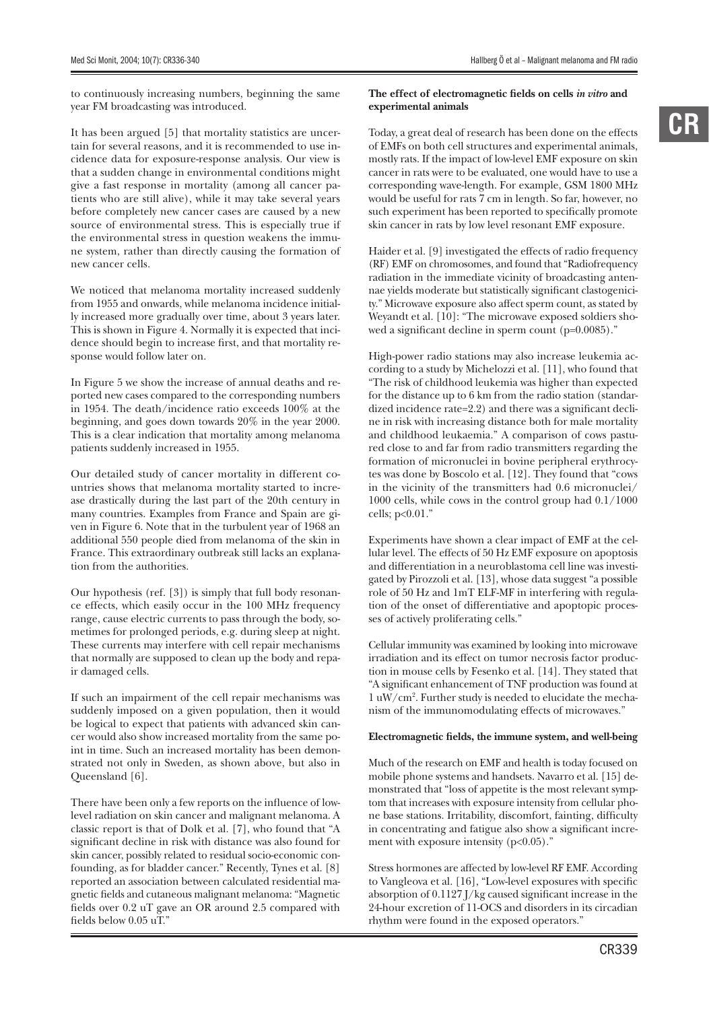year FM broadcasting was introduced.

to continuously increasing numbers, beginning the same The effect of electromagnetic fields on cells *in vitro* and **experimental animals**

It has been argued [5] that mortality statistics are uncertain for several reasons, and it is recommended to use incidence data for exposure-response analysis. Our view is that a sudden change in environmental conditions might give a fast response in mortality (among all cancer patients who are still alive), while it may take several years before completely new cancer cases are caused by a new source of environmental stress. This is especially true if the environmental stress in question weakens the immune system, rather than directly causing the formation of new cancer cells.

We noticed that melanoma mortality increased suddenly from 1955 and onwards, while melanoma incidence initially increased more gradually over time, about 3 years later. This is shown in Figure 4. Normally it is expected that incidence should begin to increase first, and that mortality response would follow later on.

In Figure 5 we show the increase of annual deaths and reported new cases compared to the corresponding numbers in 1954. The death/incidence ratio exceeds 100% at the beginning, and goes down towards 20% in the year 2000. This is a clear indication that mortality among melanoma patients suddenly increased in 1955.

Our detailed study of cancer mortality in different countries shows that melanoma mortality started to increase drastically during the last part of the 20th century in many countries. Examples from France and Spain are given in Figure 6. Note that in the turbulent year of 1968 an additional 550 people died from melanoma of the skin in France. This extraordinary outbreak still lacks an explanation from the authorities.

Our hypothesis (ref. [3]) is simply that full body resonance effects, which easily occur in the 100 MHz frequency range, cause electric currents to pass through the body, sometimes for prolonged periods, e.g. during sleep at night. These currents may interfere with cell repair mechanisms that normally are supposed to clean up the body and repair damaged cells.

If such an impairment of the cell repair mechanisms was suddenly imposed on a given population, then it would be logical to expect that patients with advanced skin cancer would also show increased mortality from the same point in time. Such an increased mortality has been demonstrated not only in Sweden, as shown above, but also in Queensland [6].

There have been only a few reports on the influence of lowlevel radiation on skin cancer and malignant melanoma. A classic report is that of Dolk et al. [7], who found that "A significant decline in risk with distance was also found for skin cancer, possibly related to residual socio-economic confounding, as for bladder cancer." Recently, Tynes et al. [8] reported an association between calculated residential magnetic fields and cutaneous malignant melanoma: "Magnetic fields over 0.2 uT gave an OR around 2.5 compared with fields below  $0.05$  uT."

Today, a great deal of research has been done on the effects of EMFs on both cell structures and experimental animals, mostly rats. If the impact of low-level EMF exposure on skin cancer in rats were to be evaluated, one would have to use a

corresponding wave-length. For example, GSM 1800 MHz would be useful for rats 7 cm in length. So far, however, no such experiment has been reported to specifically promote skin cancer in rats by low level resonant EMF exposure.

Haider et al. [9] investigated the effects of radio frequency (RF) EMF on chromosomes, and found that "Radiofrequency radiation in the immediate vicinity of broadcasting antennae yields moderate but statistically significant clastogenicity." Microwave exposure also affect sperm count, as stated by Weyandt et al. [10]: "The microwave exposed soldiers showed a significant decline in sperm count  $(p=0.0085)$ ."

High-power radio stations may also increase leukemia according to a study by Michelozzi et al. [11], who found that "The risk of childhood leukemia was higher than expected for the distance up to 6 km from the radio station (standardized incidence rate=2.2) and there was a significant decline in risk with increasing distance both for male mortality and childhood leukaemia." A comparison of cows pastured close to and far from radio transmitters regarding the formation of micronuclei in bovine peripheral erythrocytes was done by Boscolo et al. [12]. They found that "cows in the vicinity of the transmitters had 0.6 micronuclei/ 1000 cells, while cows in the control group had 0.1/1000 cells; p<0.01."

Experiments have shown a clear impact of EMF at the cellular level. The effects of 50 Hz EMF exposure on apoptosis and differentiation in a neuroblastoma cell line was investigated by Pirozzoli et al. [13], whose data suggest "a possible role of 50 Hz and 1mT ELF-MF in interfering with regulation of the onset of differentiative and apoptopic processes of actively proliferating cells."

Cellular immunity was examined by looking into microwave irradiation and its effect on tumor necrosis factor production in mouse cells by Fesenko et al. [14]. They stated that "A significant enhancement of TNF production was found at 1 uW/cm2 . Further study is needed to elucidate the mechanism of the immunomodulating effects of microwaves."

# Electromagnetic fields, the immune system, and well-being

Much of the research on EMF and health is today focused on mobile phone systems and handsets. Navarro et al. [15] demonstrated that "loss of appetite is the most relevant symptom that increases with exposure intensity from cellular phone base stations. Irritability, discomfort, fainting, difficulty in concentrating and fatigue also show a significant increment with exposure intensity  $(p<0.05)$ ."

Stress hormones are affected by low-level RF EMF. According to Vangleova et al. [16], "Low-level exposures with specific absorption of  $0.1127$  J/kg caused significant increase in the 24-hour excretion of 11-OCS and disorders in its circadian rhythm were found in the exposed operators."